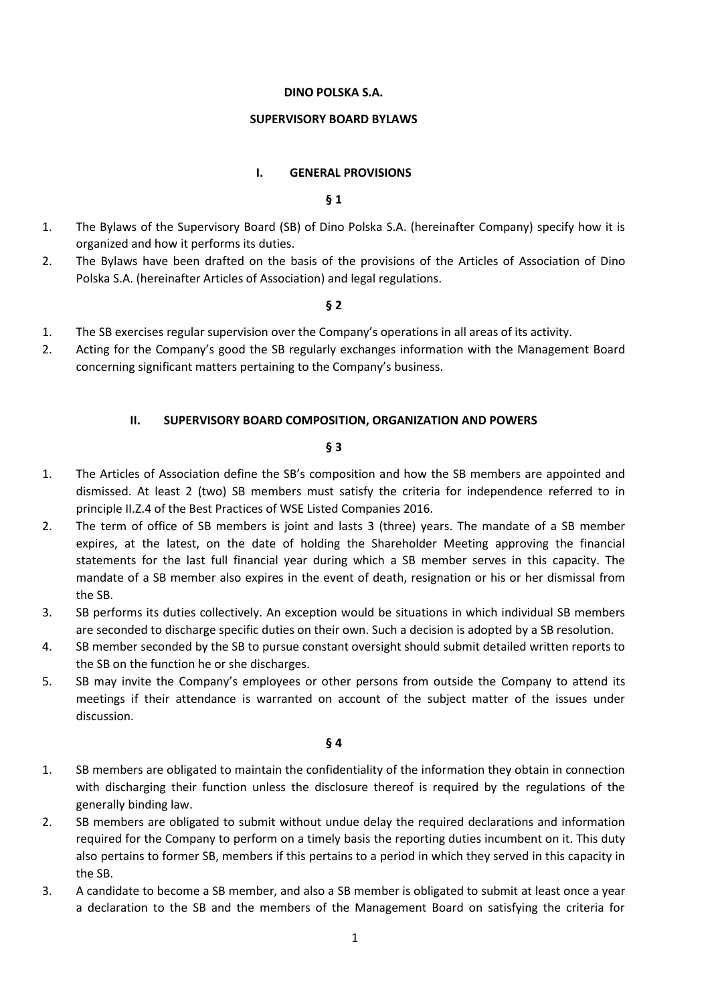#### **DINO POLSKA S.A.**

#### **SUPERVISORY BOARD BYLAWS**

#### **I. GENERAL PROVISIONS**

#### **§ 1**

- 1. The Bylaws of the Supervisory Board (SB) of Dino Polska S.A. (hereinafter Company) specify how it is organized and how it performs its duties.
- 2. The Bylaws have been drafted on the basis of the provisions of the Articles of Association of Dino Polska S.A. (hereinafter Articles of Association) and legal regulations.

#### **§ 2**

- 1. The SB exercises regular supervision over the Company's operations in all areas of its activity.
- 2. Acting for the Company's good the SB regularly exchanges information with the Management Board concerning significant matters pertaining to the Company's business.

## **II. SUPERVISORY BOARD COMPOSITION, ORGANIZATION AND POWERS**

## **§ 3**

- 1. The Articles of Association define the SB's composition and how the SB members are appointed and dismissed. At least 2 (two) SB members must satisfy the criteria for independence referred to in principle II.Z.4 of the Best Practices of WSE Listed Companies 2016.
- 2. The term of office of SB members is joint and lasts 3 (three) years. The mandate of a SB member expires, at the latest, on the date of holding the Shareholder Meeting approving the financial statements for the last full financial year during which a SB member serves in this capacity. The mandate of a SB member also expires in the event of death, resignation or his or her dismissal from the SB.
- 3. SB performs its duties collectively. An exception would be situations in which individual SB members are seconded to discharge specific duties on their own. Such a decision is adopted by a SB resolution.
- 4. SB member seconded by the SB to pursue constant oversight should submit detailed written reports to the SB on the function he or she discharges.
- 5. SB may invite the Company's employees or other persons from outside the Company to attend its meetings if their attendance is warranted on account of the subject matter of the issues under discussion.

- 1. SB members are obligated to maintain the confidentiality of the information they obtain in connection with discharging their function unless the disclosure thereof is required by the regulations of the generally binding law.
- 2. SB members are obligated to submit without undue delay the required declarations and information required for the Company to perform on a timely basis the reporting duties incumbent on it. This duty also pertains to former SB, members if this pertains to a period in which they served in this capacity in the SB.
- 3. A candidate to become a SB member, and also a SB member is obligated to submit at least once a year a declaration to the SB and the members of the Management Board on satisfying the criteria for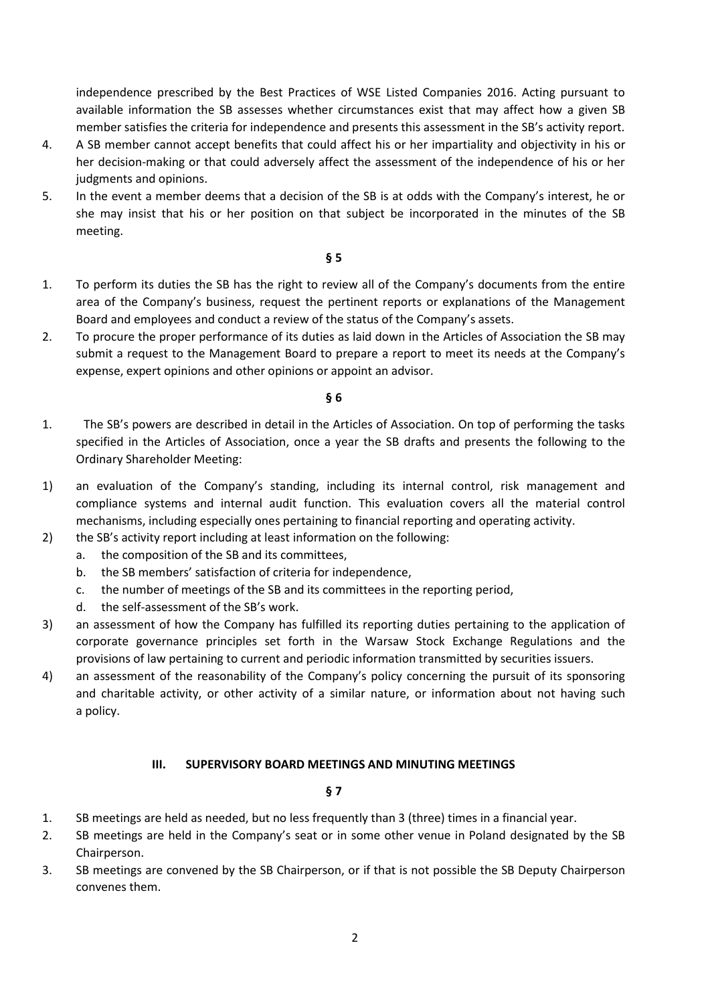independence prescribed by the Best Practices of WSE Listed Companies 2016. Acting pursuant to available information the SB assesses whether circumstances exist that may affect how a given SB member satisfies the criteria for independence and presents this assessment in the SB's activity report.

- 4. A SB member cannot accept benefits that could affect his or her impartiality and objectivity in his or her decision-making or that could adversely affect the assessment of the independence of his or her judgments and opinions.
- 5. In the event a member deems that a decision of the SB is at odds with the Company's interest, he or she may insist that his or her position on that subject be incorporated in the minutes of the SB meeting.

## **§ 5**

- 1. To perform its duties the SB has the right to review all of the Company's documents from the entire area of the Company's business, request the pertinent reports or explanations of the Management Board and employees and conduct a review of the status of the Company's assets.
- 2. To procure the proper performance of its duties as laid down in the Articles of Association the SB may submit a request to the Management Board to prepare a report to meet its needs at the Company's expense, expert opinions and other opinions or appoint an advisor.

## **§ 6**

- 1. The SB's powers are described in detail in the Articles of Association. On top of performing the tasks specified in the Articles of Association, once a year the SB drafts and presents the following to the Ordinary Shareholder Meeting:
- 1) an evaluation of the Company's standing, including its internal control, risk management and compliance systems and internal audit function. This evaluation covers all the material control mechanisms, including especially ones pertaining to financial reporting and operating activity.
- 2) the SB's activity report including at least information on the following:
	- a. the composition of the SB and its committees,
	- b. the SB members' satisfaction of criteria for independence,
	- c. the number of meetings of the SB and its committees in the reporting period,
	- d. the self-assessment of the SB's work.
- 3) an assessment of how the Company has fulfilled its reporting duties pertaining to the application of corporate governance principles set forth in the Warsaw Stock Exchange Regulations and the provisions of law pertaining to current and periodic information transmitted by securities issuers.
- 4) an assessment of the reasonability of the Company's policy concerning the pursuit of its sponsoring and charitable activity, or other activity of a similar nature, or information about not having such a policy.

## **III. SUPERVISORY BOARD MEETINGS AND MINUTING MEETINGS**

- 1. SB meetings are held as needed, but no less frequently than 3 (three) times in a financial year.
- 2. SB meetings are held in the Company's seat or in some other venue in Poland designated by the SB Chairperson.
- 3. SB meetings are convened by the SB Chairperson, or if that is not possible the SB Deputy Chairperson convenes them.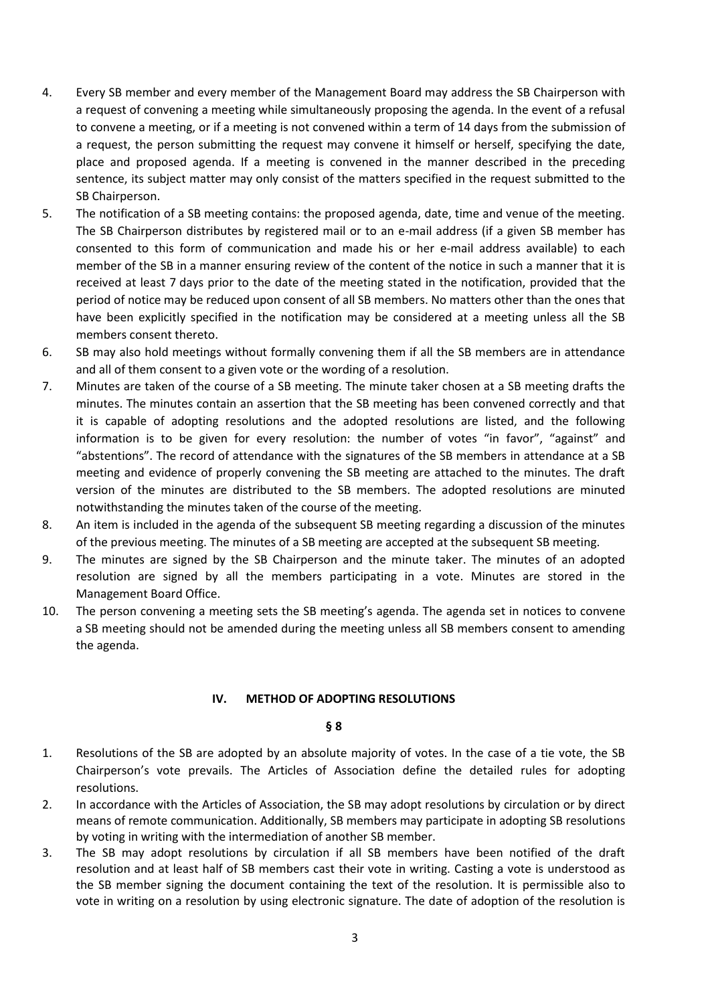- 4. Every SB member and every member of the Management Board may address the SB Chairperson with a request of convening a meeting while simultaneously proposing the agenda. In the event of a refusal to convene a meeting, or if a meeting is not convened within a term of 14 days from the submission of a request, the person submitting the request may convene it himself or herself, specifying the date, place and proposed agenda. If a meeting is convened in the manner described in the preceding sentence, its subject matter may only consist of the matters specified in the request submitted to the SB Chairperson.
- 5. The notification of a SB meeting contains: the proposed agenda, date, time and venue of the meeting. The SB Chairperson distributes by registered mail or to an e-mail address (if a given SB member has consented to this form of communication and made his or her e-mail address available) to each member of the SB in a manner ensuring review of the content of the notice in such a manner that it is received at least 7 days prior to the date of the meeting stated in the notification, provided that the period of notice may be reduced upon consent of all SB members. No matters other than the ones that have been explicitly specified in the notification may be considered at a meeting unless all the SB members consent thereto.
- 6. SB may also hold meetings without formally convening them if all the SB members are in attendance and all of them consent to a given vote or the wording of a resolution.
- 7. Minutes are taken of the course of a SB meeting. The minute taker chosen at a SB meeting drafts the minutes. The minutes contain an assertion that the SB meeting has been convened correctly and that it is capable of adopting resolutions and the adopted resolutions are listed, and the following information is to be given for every resolution: the number of votes "in favor", "against" and "abstentions". The record of attendance with the signatures of the SB members in attendance at a SB meeting and evidence of properly convening the SB meeting are attached to the minutes. The draft version of the minutes are distributed to the SB members. The adopted resolutions are minuted notwithstanding the minutes taken of the course of the meeting.
- 8. An item is included in the agenda of the subsequent SB meeting regarding a discussion of the minutes of the previous meeting. The minutes of a SB meeting are accepted at the subsequent SB meeting.
- 9. The minutes are signed by the SB Chairperson and the minute taker. The minutes of an adopted resolution are signed by all the members participating in a vote. Minutes are stored in the Management Board Office.
- 10. The person convening a meeting sets the SB meeting's agenda. The agenda set in notices to convene a SB meeting should not be amended during the meeting unless all SB members consent to amending the agenda.

## **IV. METHOD OF ADOPTING RESOLUTIONS**

- 1. Resolutions of the SB are adopted by an absolute majority of votes. In the case of a tie vote, the SB Chairperson's vote prevails. The Articles of Association define the detailed rules for adopting resolutions.
- 2. In accordance with the Articles of Association, the SB may adopt resolutions by circulation or by direct means of remote communication. Additionally, SB members may participate in adopting SB resolutions by voting in writing with the intermediation of another SB member.
- 3. The SB may adopt resolutions by circulation if all SB members have been notified of the draft resolution and at least half of SB members cast their vote in writing. Casting a vote is understood as the SB member signing the document containing the text of the resolution. It is permissible also to vote in writing on a resolution by using electronic signature. The date of adoption of the resolution is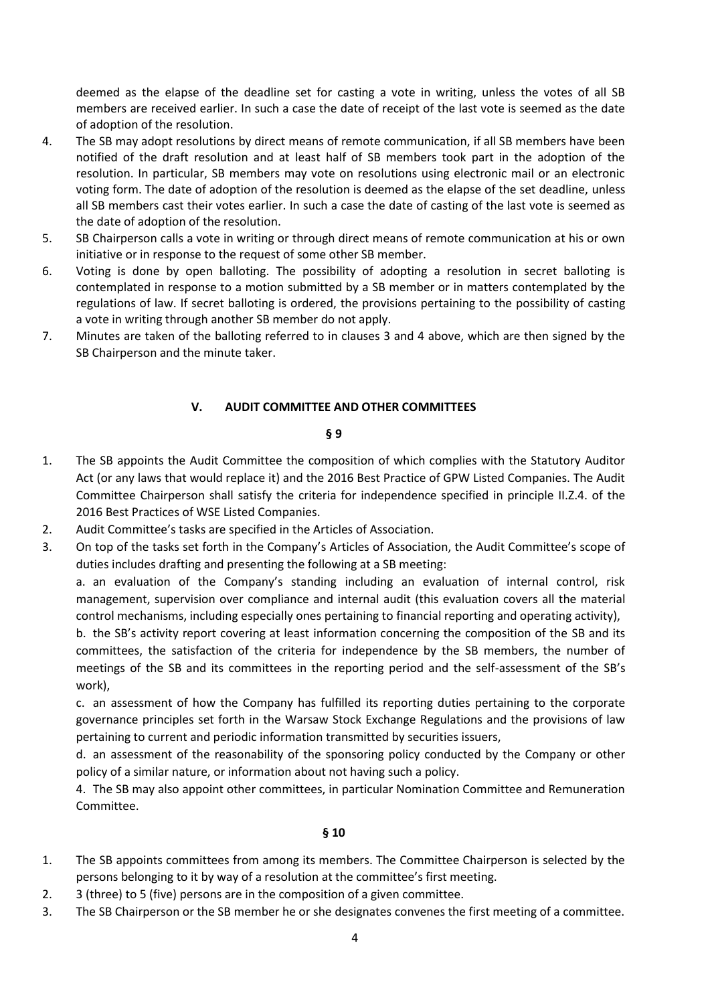deemed as the elapse of the deadline set for casting a vote in writing, unless the votes of all SB members are received earlier. In such a case the date of receipt of the last vote is seemed as the date of adoption of the resolution.

- 4. The SB may adopt resolutions by direct means of remote communication, if all SB members have been notified of the draft resolution and at least half of SB members took part in the adoption of the resolution. In particular, SB members may vote on resolutions using electronic mail or an electronic voting form. The date of adoption of the resolution is deemed as the elapse of the set deadline, unless all SB members cast their votes earlier. In such a case the date of casting of the last vote is seemed as the date of adoption of the resolution.
- 5. SB Chairperson calls a vote in writing or through direct means of remote communication at his or own initiative or in response to the request of some other SB member.
- 6. Voting is done by open balloting. The possibility of adopting a resolution in secret balloting is contemplated in response to a motion submitted by a SB member or in matters contemplated by the regulations of law. If secret balloting is ordered, the provisions pertaining to the possibility of casting a vote in writing through another SB member do not apply.
- 7. Minutes are taken of the balloting referred to in clauses 3 and 4 above, which are then signed by the SB Chairperson and the minute taker.

# **V. AUDIT COMMITTEE AND OTHER COMMITTEES**

## **§ 9**

- 1. The SB appoints the Audit Committee the composition of which complies with the Statutory Auditor Act (or any laws that would replace it) and the 2016 Best Practice of GPW Listed Companies. The Audit Committee Chairperson shall satisfy the criteria for independence specified in principle II.Z.4. of the 2016 Best Practices of WSE Listed Companies.
- 2. Audit Committee's tasks are specified in the Articles of Association.
- 3. On top of the tasks set forth in the Company's Articles of Association, the Audit Committee's scope of duties includes drafting and presenting the following at a SB meeting:

a. an evaluation of the Company's standing including an evaluation of internal control, risk management, supervision over compliance and internal audit (this evaluation covers all the material control mechanisms, including especially ones pertaining to financial reporting and operating activity),

b. the SB's activity report covering at least information concerning the composition of the SB and its committees, the satisfaction of the criteria for independence by the SB members, the number of meetings of the SB and its committees in the reporting period and the self-assessment of the SB's work),

c. an assessment of how the Company has fulfilled its reporting duties pertaining to the corporate governance principles set forth in the Warsaw Stock Exchange Regulations and the provisions of law pertaining to current and periodic information transmitted by securities issuers,

d. an assessment of the reasonability of the sponsoring policy conducted by the Company or other policy of a similar nature, or information about not having such a policy.

4. The SB may also appoint other committees, in particular Nomination Committee and Remuneration Committee.

- 1. The SB appoints committees from among its members. The Committee Chairperson is selected by the persons belonging to it by way of a resolution at the committee's first meeting.
- 2. 3 (three) to 5 (five) persons are in the composition of a given committee.
- 3. The SB Chairperson or the SB member he or she designates convenes the first meeting of a committee.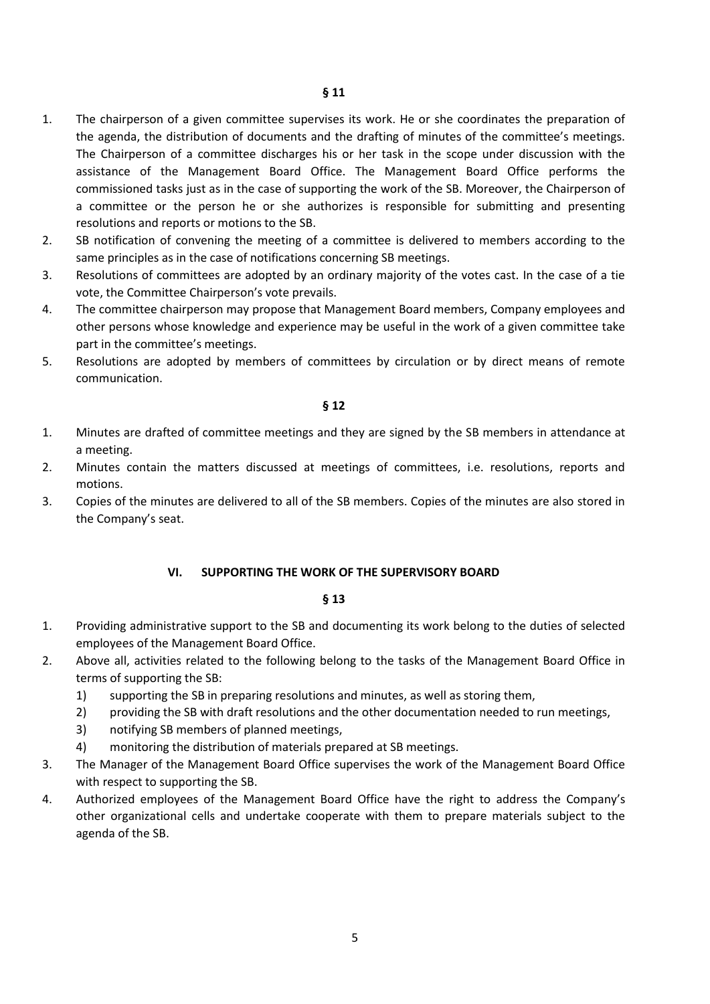- 1. The chairperson of a given committee supervises its work. He or she coordinates the preparation of the agenda, the distribution of documents and the drafting of minutes of the committee's meetings. The Chairperson of a committee discharges his or her task in the scope under discussion with the assistance of the Management Board Office. The Management Board Office performs the commissioned tasks just as in the case of supporting the work of the SB. Moreover, the Chairperson of a committee or the person he or she authorizes is responsible for submitting and presenting resolutions and reports or motions to the SB.
- 2. SB notification of convening the meeting of a committee is delivered to members according to the same principles as in the case of notifications concerning SB meetings.
- 3. Resolutions of committees are adopted by an ordinary majority of the votes cast. In the case of a tie vote, the Committee Chairperson's vote prevails.
- 4. The committee chairperson may propose that Management Board members, Company employees and other persons whose knowledge and experience may be useful in the work of a given committee take part in the committee's meetings.
- 5. Resolutions are adopted by members of committees by circulation or by direct means of remote communication.

#### **§ 12**

- 1. Minutes are drafted of committee meetings and they are signed by the SB members in attendance at a meeting.
- 2. Minutes contain the matters discussed at meetings of committees, i.e. resolutions, reports and motions.
- 3. Copies of the minutes are delivered to all of the SB members. Copies of the minutes are also stored in the Company's seat.

#### **VI. SUPPORTING THE WORK OF THE SUPERVISORY BOARD**

- 1. Providing administrative support to the SB and documenting its work belong to the duties of selected employees of the Management Board Office.
- 2. Above all, activities related to the following belong to the tasks of the Management Board Office in terms of supporting the SB:
	- 1) supporting the SB in preparing resolutions and minutes, as well as storing them,
	- 2) providing the SB with draft resolutions and the other documentation needed to run meetings,
	- 3) notifying SB members of planned meetings,
	- 4) monitoring the distribution of materials prepared at SB meetings.
- 3. The Manager of the Management Board Office supervises the work of the Management Board Office with respect to supporting the SB.
- 4. Authorized employees of the Management Board Office have the right to address the Company's other organizational cells and undertake cooperate with them to prepare materials subject to the agenda of the SB.